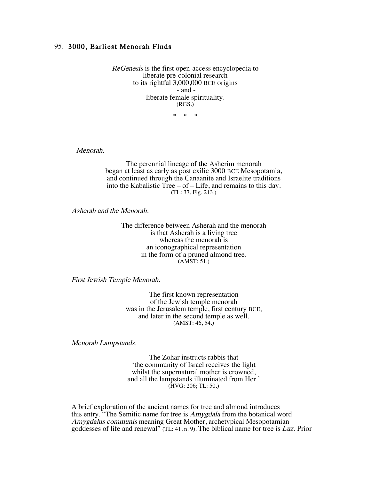## 95. 3000, Earliest Menorah Finds

ReGenesis is the first open-access encyclopedia to liberate pre-colonial research to its rightful 3,000,000 BCE origins - and liberate female spirituality. (RGS.)

\* \* \*

Menorah.

The perennial lineage of the Asherim menorah began at least as early as post exilic 3000 BCE Mesopotamia, and continued through the Canaanite and Israelite traditions into the Kabalistic Tree – of – Life, and remains to this day. (TL: 37, Fig. 213.)

Asherah and the Menorah.

The difference between Asherah and the menorah is that Asherah is a living tree whereas the menorah is an iconographical representation in the form of a pruned almond tree. (AMST: 51.)

First Jewish Temple Menorah.

The first known representation of the Jewish temple menorah was in the Jerusalem temple, first century BCE, and later in the second temple as well. (AMST: 46, 54.)

Menorah Lampstands.

The Zohar instructs rabbis that 'the community of Israel receives the light whilst the supernatural mother is crowned, and all the lampstands illuminated from Her.' (HVG: 206; TL: 50.)

A brief exploration of the ancient names for tree and almond introduces this entry. "The Semitic name for tree is *Amygdala* from the botanical word Amygdalus communis meaning Great Mother, archetypical Mesopotamian goddesses of life and renewal" (TL: 41, n. 9). The biblical name for tree is Luz. Prior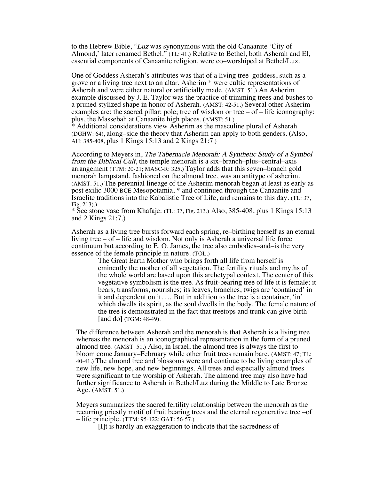to the Hebrew Bible, "Luz was synonymous with the old Canaanite 'City of Almond,' later renamed Bethel." (TL: 41.) Relative to Bethel, both Asherah and El, essential components of Canaanite religion, were co–worshiped at Bethel/Luz.

One of Goddess Asherah's attributes was that of a living tree–goddess, such as a grove or a living tree next to an altar. Asherim \* were cultic representations of Asherah and were either natural or artificially made. (AMST: 51.) An Asherim example discussed by J. E. Taylor was the practice of trimming trees and bushes to a pruned stylized shape in honor of Asherah. (AMST: 42-51.) Several other Asherim examples are: the sacred pillar; pole; tree of wisdom or tree – of – life iconography; plus, the Massebah at Canaanite high places. (AMST: 51.)

\* Additional considerations view Asherim as the masculine plural of Asherah (DGHW: 64), along–side the theory that Asherim can apply to both genders. (Also, AH: 385-408, plus 1 Kings 15:13 and 2 Kings 21:7.)

According to Meyers in, The Tabernacle Menorah: A Synthetic Study of a Symbol from the Biblical Cult, the temple menorah is a six–branch–plus–central–axis arrangement (TTM: 20-21; MASC-R: 325.) Taylor adds that this seven–branch gold menorah lampstand, fashioned on the almond tree, was an antitype of asherim. (AMST: 51.) The perennial lineage of the Asherim menorah began at least as early as post exilic 3000 BCE Mesopotamia, \* and continued through the Canaanite and Israelite traditions into the Kabalistic Tree of Life, and remains to this day. (TL: 37, Fig. 213).)

\* See stone vase from Khafaje: (TL: 37, Fig. 213.) Also, 385-408, plus 1 Kings 15:13 and 2 Kings 21:7.)

Asherah as a living tree bursts forward each spring, re–birthing herself as an eternal living tree – of – life and wisdom. Not only is Asherah a universal life force continuum but according to E. O. James, the tree also embodies–and–is the very essence of the female principle in nature. (TOL.)

> The Great Earth Mother who brings forth all life from herself is eminently the mother of all vegetation. The fertility rituals and myths of the whole world are based upon this archetypal context. The center of this vegetative symbolism is the tree. As fruit-bearing tree of life it is female; it bears, transforms, nourishes; its leaves, branches, twigs are 'contained' in it and dependent on it. … But in addition to the tree is a container, 'in' which dwells its spirit, as the soul dwells in the body. The female nature of the tree is demonstrated in the fact that treetops and trunk can give birth [and do] (TGM: 48-49).

The difference between Asherah and the menorah is that Asherah is a living tree whereas the menorah is an iconographical representation in the form of a pruned almond tree. (AMST: 51.) Also, in Israel, the almond tree is always the first to bloom come January–February while other fruit trees remain bare. (AMST: 47; TL: 40-41.) The almond tree and blossoms were and continue to be living examples of new life, new hope, and new beginnings. All trees and especially almond trees were significant to the worship of Asherah. The almond tree may also have had further significance to Asherah in Bethel/Luz during the Middle to Late Bronze Age. (AMST: 51.)

Meyers summarizes the sacred fertility relationship between the menorah as the recurring priestly motif of fruit bearing trees and the eternal regenerative tree –of – life principle. (TTM: 95-122; GAT: 56-57.)

[I]t is hardly an exaggeration to indicate that the sacredness of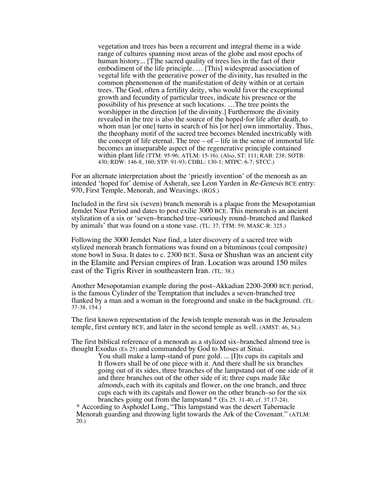vegetation and trees has been a recurrent and integral theme in a wide range of cultures spanning most areas of the globe and most epochs of human history... [T]he sacred quality of trees lies in the fact of their embodiment of the life principle. … [This] widespread association of vegetal life with the generative power of the divinity, has resulted in the common phenomenon of the manifestation of deity within or at certain trees. The God, often a fertility deity, who would favor the exceptional growth and fecundity of particular trees, indicate his presence or the possibility of his presence at such locations. …The tree points the worshipper in the direction [of the divinity.] Furthermore the divinity revealed in the tree is also the source of the hoped-for life after death, to whom man [or one] turns in search of his [or her] own immortality. Thus, the theophany motif of the sacred tree becomes blended inextricably with the concept of life eternal. The tree  $-$  of  $-$  life in the sense of immortal life becomes an inseparable aspect of the regenerative principle contained within plant life (TTM: 95-96; ATLM: 15-16). (Also, ST: 111; RAB: 238; SOTB: 430; RDW: 146-8, 160; STP: 91-93; CDBL: 130-1; MTPC: 6-7; STCC.)

For an alternate interpretation about the 'priestly invention' of the menorah as an intended 'hoped for' demise of Asherah, see Leon Yarden in Re-Genesis BCE entry: 970, First Temple, Menorah, and Weavings. (RGS.)

Included in the first six (seven) branch menorah is a plaque from the Mesopotamian Jemdet Nasr Period and dates to post exilic 3000 BCE. This menorah is an ancient stylization of a six or 'seven–branched tree–curiously round–branched and flanked by animals' that was found on a stone vase. (TL: 37; TTM: 59; MASC-R: 325.)

Following the 3000 Jemdet Nasr find, a later discovery of a sacred tree with stylized menorah branch formations was found on a bituminous (coal composite) stone bowl in Susa. It dates to c. 2300 BCE. Susa or Shushan was an ancient city in the Elamite and Persian empires of Iran. Location was around 150 miles east of the Tigris River in southeastern Iran. (TL: 38.)

Another Mesopotamian example during the post–Akkadian 2200-2000 BCE period, is the famous Cylinder of the Temptation that includes a seven-branched tree flanked by a man and a woman in the foreground and snake in the background. (TL: 37-38, 154.)

The first known representation of the Jewish temple menorah was in the Jerusalem temple, first century BCE, and later in the second temple as well. (AMST: 46, 54.)

The first biblical reference of a menorah as a stylized six–branched almond tree is thought Exodus (Ex 25) and commanded by God to Moses at Sinai.

You shall make a lamp-stand of pure gold. ... [I]ts cups its capitals and It flowers shall be of one piece with it. And there shall be six branches going out of its sides, three branches of the lampstand out of one side of it and three branches out of the other side of it; three cups made like almonds, each with its capitals and flower, on the one branch, and three cups each with its capitals and flower on the other branch–so for the six branches going out from the lampstand \* (Ex 25. 31-40, cf. 37.17-24).

\* According to Asphodel Long, "This lampstand was the desert Tabernacle Menorah guarding and throwing light towards the Ark of the Covenant." (ATLM: 20.)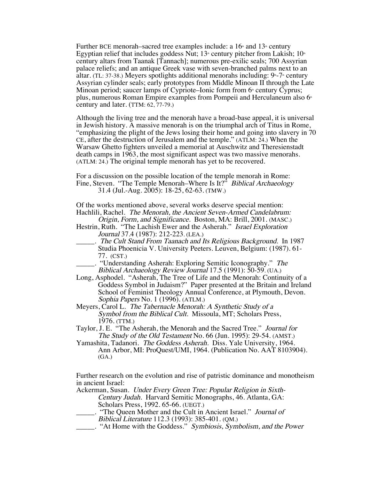Further BCE menorah–sacred tree examples include: a  $16<sup>th</sup>$  and  $13<sup>th</sup>$  century Egyptian relief that includes goddess Nut;  $13<sup>*</sup>$  century pitcher from Lakish;  $10<sup>*</sup>$ century altars from Taanak [Tannach]; numerous pre-exilic seals; 700 Assyrian palace reliefs; and an antique Greek vase with seven-branched palms next to an altar. (TL: 37-38.) Meyers spotlights additional menorahs including:  $9 - 7$  century Assyrian cylinder seals; early prototypes from Middle Minoan II through the Late Minoan period; saucer lamps of Cypriote–Ionic form from  $6<sup>*</sup>$  century Cyprus; plus, numerous Roman Empire examples from Pompeii and Herculaneum also  $6<sup>*</sup>$ century and later. (TTM: 62, 77-79.)

Although the living tree and the menorah have a broad-base appeal, it is universal in Jewish history. A massive menorah is on the triumphal arch of Titus in Rome, "emphasizing the plight of the Jews losing their home and going into slavery in 70 CE, after the destruction of Jerusalem and the temple." (ATLM: 24.) When the Warsaw Ghetto fighters unveiled a memorial at Auschwitz and Theresienstadt death camps in 1963, the most significant aspect was two massive menorahs. (ATLM: 24.) The original temple menorah has yet to be recovered.

For a discussion on the possible location of the temple menorah in Rome: Fine, Steven. "The Temple Menorah–Where Is It?" *Biblical Archaeology* 31.4 (Jul.-Aug. 2005): 18-25, 62-63. (TMW.)

Of the works mentioned above, several works deserve special mention: Hachlili, Rachel. The Menorah, the Ancient Seven-Armed Candelabrum:

Origin, Form, and Significance. Boston, MA: Brill, 2001. (MASC.) Hestrin, Ruth. "The Lachish Ewer and the Asherah." Israel Exploration Journal 37.4 (1987): 212-223. (LEA.)

- \_\_\_\_\_. The Cult Stand From Taanach and Its Religious Background. In 1987 Studia Phoenicia V. University Peeters. Leuven, Belgium: (1987). 61- 77. (CST.)
- \_\_\_\_\_. "Understanding Asherah: Exploring Semitic Iconography." The Biblical Archaeology Review Journal 17.5 (1991): 50-59. (UA.)

Long, Asphodel. "Asherah, The Tree of Life and the Menorah: Continuity of a Goddess Symbol in Judaism?" Paper presented at the Britain and Ireland School of Feminist Theology Annual Conference, at Plymouth, Devon. Sophia Papers No. 1 (1996). (ATLM.)

- Meyers, Carol L. The Tabernacle Menorah: A Synthetic Study of a Symbol from the Biblical Cult. Missoula, MT; Scholars Press, 1976. (TTM.)
- Taylor, J. E. "The Asherah, the Menorah and the Sacred Tree." Journal for The Study of the Old Testament No. 66 (Jun. 1995): 29-54. (AMST.)
- Yamashita, Tadanori. The Goddess Asherah. Diss. Yale University, 1964. Ann Arbor, MI: ProQuest/UMI, 1964. (Publication No. AAT 8103904). (GA.)

Further research on the evolution and rise of patristic dominance and monotheism in ancient Israel:

Ackerman, Susan. Under Every Green Tree: Popular Religion in Sixth-Century Judah. Harvard Semitic Monographs, 46. Atlanta, GA: Scholars Press, 1992. 65-66. (UEGT.)

- \_\_\_\_\_. "The Queen Mother and the Cult in Ancient Israel." Journal of Biblical Literature 112.3 (1993): 385-401. (QM.)
	- . "At Home with the Goddess." Symbiosis, Symbolism, and the Power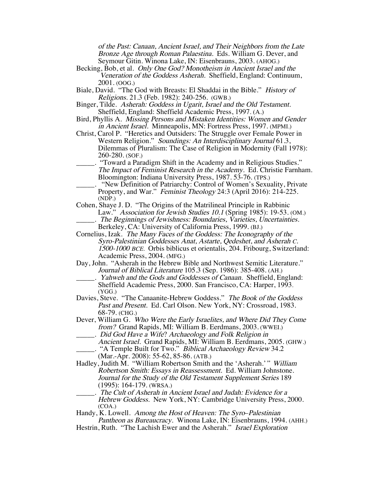of the Past: Canaan, Ancient Israel, and Their Neighbors from the Late Bronze Age through Roman Palaestina. Eds. William G. Dever, and Seymour Gitin. Winona Lake, IN: Eisenbrauns, 2003. (AHOG.)

- Becking, Bob, et al. Only One God? Monotheism in Ancient Israel and the Veneration of the Goddess Asherah. Sheffield, England: Continuum, 2001. (OOG.)
- Biale, David. "The God with Breasts: El Shaddai in the Bible." History of Religions. 21.3 (Feb. 1982): 240-256. (GWB.)
- Binger, Tilde. Asherah: Goddess in Ugarit, Israel and the Old Testament. Sheffield, England: Sheffield Academic Press, 1997. (A.)
- Bird, Phyllis A. Missing Persons and Mistaken Identities: Women and Gender in Ancient Israel. Minneapolis, MN: Fortress Press, 1997. (MPMI.)
- Christ, Carol P. "Heretics and Outsiders: The Struggle over Female Power in Western Religion." Soundings: An Interdisciplinary Journal 61.3, Dilemmas of Pluralism: The Case of Religion in Modernity (Fall 1978): 260-280. (SOF.)
- "Toward a Paradigm Shift in the Academy and in Religious Studies." The Impact of Feminist Research in the Academy. Ed. Christie Farnham. Bloomington: Indiana University Press, 1987. 53-76. (TPS.)
- \_\_\_\_\_. "New Definition of Patriarchy: Control of Women's Sexuality, Private Property, and War." Feminist Theology 24:3 (April 2016): 214-225. (NDP.)
- Cohen, Shaye J. D. "The Origins of the Matrilineal Principle in Rabbinic Law." Association for Jewish Studies 10.1 (Spring 1985): 19-53. (OM.) \_\_\_\_\_. The Beginnings of Jewishness: Boundaries, Varieties, Uncertainties.
	- Berkeley, CA: University of California Press, 1999. (BJ.)
- Cornelius, Izak. The Many Faces of the Goddess: The Iconography of the Syro-Palestinian Goddesses Anat, Astarte, Qedeshet, and Asherah C. 1500-1000 BCE. Orbis biblicus et orientalis, 204. Fribourg, Switzerland: Academic Press, 2004. (MFG.)
- Day, John. "Asherah in the Hebrew Bible and Northwest Semitic Literature." Journal of Biblical Literature 105.3 (Sep. 1986): 385-408. (AH.)
- . Yahweh and the Gods and Goddesses of Canaan. Sheffield, England: Sheffield Academic Press, 2000. San Francisco, CA: Harper, 1993. (YGG.)
- Davies, Steve. "The Canaanite-Hebrew Goddess." The Book of the Goddess Past and Present. Ed. Carl Olson. New York, NY: Crossroad, 1983. 68-79. (CHG.)
- Dever, William G. Who Were the Early Israelites, and Where Did They Come from? Grand Rapids, MI: William B. Eerdmans, 2003. (WWEI.) \_\_\_\_\_. Did God Have a Wife? Archaeology and Folk Religion in
- Ancient Israel. Grand Rapids, MI: William B. Eerdmans, 2005. (GHW.) ... "A Temple Built for Two." Biblical Archaeology Review 34.2

- Hadley, Judith M. "William Robertson Smith and the 'Asherah.'" William Robertson Smith: Essays in Reassessment. Ed. William Johnstone. Journal for the Study of the Old Testament Supplement Series 189 (1995): 164-179. (WRSA.)
- \_\_\_\_\_. The Cult of Asherah in Ancient Israel and Judah: Evidence for a Hebrew Goddess. New York, NY: Cambridge University Press, 2000. (COA.)

Handy, K. Lowell. Among the Host of Heaven: The Syro–Palestinian Pantheon as Bureaucracy. Winona Lake, IN: Eisenbrauns, 1994. (AHH.) Hestrin, Ruth. "The Lachish Ewer and the Asherah." Israel Exploration

<sup>(</sup>Mar.-Apr. 2008): 55-62, 85-86. (ATB.)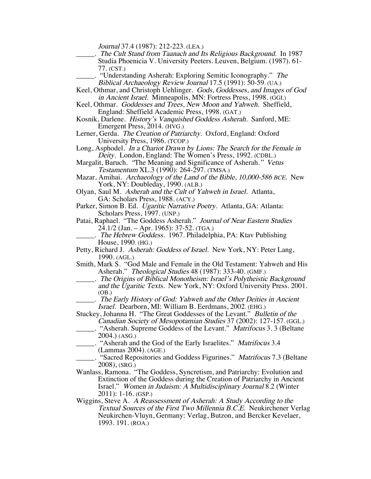Journal 37.4 (1987): 212-223. (LEA.)

- \_\_\_\_\_. The Cult Stand from Taanach and Its Religious Background. In 1987 Studia Phoenicia V. University Peeters. Leuven, Belgium. (1987). 61- 77. (CST.)
	- "Understanding Asherah: Exploring Semitic Iconography." The Biblical Archaeology Review Journal 17.5 (1991): 50-59. (UA.)
- Keel, Othmar, and Christoph Uehlinger. Gods, Goddesses, and Images of God in Ancient Israel. Minneapolis, MN: Fortress Press, 1998. (GGI.)
- Keel, Othmar. Goddesses and Trees, New Moon and Yahweh. Sheffield, England: Sheffield Academic Press, 1998. (GAT.)
- Kosnik, Darlene. History's Vanquished Goddess Asherah. Sanford, ME: Emergent Press, 2014. (HVG.)
- Lerner, Gerda. The Creation of Patriarchy. Oxford, England: Oxford University Press, 1986. (TCOP.)
- Long, Asphodel. In a Chariot Drawn by Lions: The Search for the Female in Deity. London, England: The Women's Press, 1992. (CDBL.)
- Margalit, Baruch. "The Meaning and Significance of Asherah." Vetus Testamentum XL.3 (1990): 264-297. (TMSA.)
- Mazar, Amihai. Archaeology of the Land of the Bible, 10,000-586 BCE. New York, NY: Doubleday, 1990. (ALB.)
- Olyan, Saul M. Asherah and the Cult of Yahweh in Israel. Atlanta, GA: Scholars Press, 1988. (ACY.)
- Parker, Simon B. Ed. Ugaritic Narrative Poetry. Atlanta, GA: Atlanta: Scholars Press, 1997. (UNP.)
- Patai, Raphael. "The Goddess Asherah." Journal of Near Eastern Studies 24.1/2 (Jan. – Apr. 1965): 37-52. (TGA.)
	- . The Hebrew Goddess. 1967. Philadelphia, PA: Ktav Publishing House, 1990. (HG.)
- Petty, Richard J. Asherah: Goddess of Israel. New York, NY: Peter Lang, 1990. (AGL.)
- Smith, Mark S. "God Male and Female in the Old Testament: Yahweh and His Asherah." Theological Studies 48 (1987): 333-40. (GMF.)
- \_\_\_\_\_. The Origins of Biblical Monotheism: Israel's Polytheistic Background and the Ugaritic Texts. New York, NY: Oxford University Press. 2001. (OB.)
	- \_\_\_\_\_. The Early History of God: Yahweh and the Other Deities in Ancient Israel. Dearborn, MI: William B. Eerdmans, 2002. (EHG.)
- Stuckey, Johanna H. "The Great Goddesses of the Levant." Bulletin of the Canadian Society of Mesopotamian Studies 37 (2002): 127-157. (GGL.)
- "Asherah. Supreme Goddess of the Levant." Matrifocus 3. 3 (Beltane 2004.) (ASG.)
- \_\_\_\_\_. "Asherah and the God of the Early Israelites." Matrifocus 3.4 (Lammas 2004). (AGE.)
- "Sacred Repositories and Goddess Figurines." Matrifocus 7.3 (Beltane 2008), (SRG.)
- Wanlass, Ramona. "The Goddess, Syncretism, and Patriarchy: Evolution and Extinction of the Goddess during the Creation of Patriarchy in Ancient Israel." Women in Judaism: A Multidisciplinary Journal 8.2 (Winter 2011): 1-16. (GSP.)
- Wiggins, Steve A. A Reassessment of Asherah: A Study According to the Textual Sources of the First Two Millennia B.C.E. Neukirchener Verlag Neukirchen-Vluyn, Germany: Verlag, Butzon, and Bercker Kevelaer, 1993. 191. (ROA.)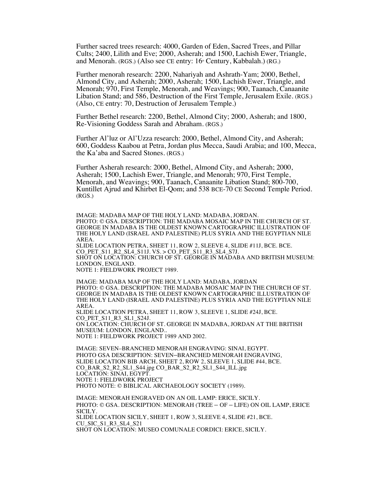Further sacred trees research: 4000, Garden of Eden, Sacred Trees, and Pillar Cults; 2400, Lilith and Eve; 2000, Asherah; and 1500, Lachish Ewer, Triangle, and Menorah. (RGS.) (Also see CE entry:  $16<sup>th</sup>$  Century, Kabbalah.) (RG.)

Further menorah research: 2200, Nahariyah and Ashrath-Yam; 2000, Bethel, Almond City, and Asherah; 2000, Asherah; 1500, Lachish Ewer, Triangle, and Menorah; 970, First Temple, Menorah, and Weavings; 900, Taanach, Canaanite Libation Stand; and 586, Destruction of the First Temple, Jerusalem Exile. (RGS.) (Also, CE entry: 70, Destruction of Jerusalem Temple.)

Further Bethel research: 2200, Bethel, Almond City; 2000, Asherah; and 1800, Re-Visioning Goddess Sarah and Abraham. (RGS.)

Further Al'luz or Al'Uzza research: 2000, Bethel, Almond City, and Asherah; 600, Goddess Kaabou at Petra, Jordan plus Mecca, Saudi Arabia; and 100, Mecca, the Ka'aba and Sacred Stones. (RGS.)

Further Asherah research: 2000, Bethel, Almond City, and Asherah; 2000, Asherah; 1500, Lachish Ewer, Triangle, and Menorah; 970, First Temple, Menorah, and Weavings; 900, Taanach, Canaanite Libation Stand; 800-700, Kuntillet Ajrud and Khirbet El-Qom; and 538 BCE-70 CE Second Temple Period. (RGS.)

IMAGE: MADABA MAP OF THE HOLY LAND: MADABA, JORDAN. PHOTO: © GSA. DESCRIPTION: THE MADABA MOSAIC MAP IN THE CHURCH OF ST. GEORGE IN MADABA IS THE OLDEST KNOWN CARTOGRAPHIC ILLUSTRATION OF THE HOLY LAND (ISRAEL AND PALESTINE) PLUS SYRIA AND THE EGYPTIAN NILE AREA. SLIDE LOCATION PETRA, SHEET 11, ROW 2, SLEEVE 4, SLIDE #11J, BCE. BCE. CO PET  $S11$  R<sub>2</sub> SL<sub>4</sub>  $S11J. VS. > CO$  PET  $S11$  R<sub>3</sub> SL<sub>4</sub>  $S7J.$ SHOT ON LOCATION: CHURCH OF ST. GEORGE IN MADABA AND BRITISH MUSEUM: LONDON, ENGLAND. NOTE 1: FIELDWORK PROJECT 1989.

IMAGE: MADABA MAP OF THE HOLY LAND: MADABA, JORDAN PHOTO: © GSA. DESCRIPTION: THE MADABA MOSAIC MAP IN THE CHURCH OF ST. GEORGE IN MADABA IS THE OLDEST KNOWN CARTOGRAPHIC ILLUSTRATION OF THE HOLY LAND (ISRAEL AND PALESTINE) PLUS SYRIA AND THE EGYPTIAN NILE AREA. SLIDE LOCATION PETRA, SHEET 11, ROW 3, SLEEVE 1, SLIDE #24J, BCE. CO PET S11 R3 SL1 S24J. ON LOCATION: CHURCH OF ST. GEORGE IN MADABA, JORDAN AT THE BRITISH MUSEUM: LONDON, ENGLAND.. NOTE 1: FIELDWORK PROJECT 1989 AND 2002.

IMAGE: SEVEN–BRANCHED MENORAH ENGRAVING: SINAI, EGYPT. PHOTO GSA DESCRIPTION: SEVEN–BRANCHED MENORAH ENGRAVING. SLIDE LOCATION BIB ARCH, SHEET 2, ROW 2, SLEEVE 1, SLIDE #44, BCE. CO\_BAR\_S2\_R2\_SL1\_S44.jpg CO\_BAR\_S2\_R2\_SL1\_S44\_ILL.jpg LOCATION: SINAI, EGYPT. NOTE 1: FIELDWORK PROJECT PHOTO NOTE: © BIBLICAL ARCHAEOLOGY SOCIETY (1989).

IMAGE: MENORAH ENGRAVED ON AN OIL LAMP: ERICE, SICILY. PHOTO: © GSA. DESCRIPTION: MENORAH (TREE – OF – LIFE) ON OIL LAMP, ERICE SICILY. SLIDE LOCATION SICILY, SHEET 1, ROW 3, SLEEVE 4, SLIDE #21, BCE. CU\_SIC\_S1\_R3\_SL4\_S21 SHOT ON LOCATION: MUSEO COMUNALE CORDICI: ERICE, SICILY.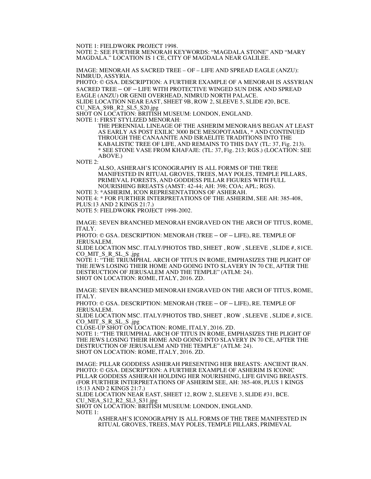NOTE 1: FIELDWORK PROJECT 1998.

NOTE 2: SEE FURTHER MENORAH KEYWORDS: "MAGDALA STONE" AND "MARY MAGDALA." LOCATION IS 1 CE, CITY OF MAGDALA NEAR GALILEE.

IMAGE: MENORAH AS SACRED TREE – OF – LIFE AND SPREAD EAGLE (ANZU): NIMRUD, ASSYRIA.

PHOTO: © GSA. DESCRIPTION: A FURTHER EXAMPLE OF A MENORAH IS ASSYRIAN SACRED TREE – OF – LIFE WITH PROTECTIVE WINGED SUN DISK AND SPREAD EAGLE (ANZU) OR GENII OVERHEAD, NIMRUD NORTH PALACE. SLIDE LOCATION NEAR EAST, SHEET 9B, ROW 2, SLEEVE 5, SLIDE #20, BCE. CU\_NEA\_S9B\_R2\_SL5\_S20.jpg SHOT ON LOCATION: BRITISH MUSEUM: LONDON, ENGLAND.

NOTE 1: FIRST STYLIZED MENORAH:

THE PERENNIAL LINEAGE OF THE ASHERIM MENORAH/S BEGAN AT LEAST AS EARLY AS POST EXILIC 3000 BCE MESOPOTAMIA, \* AND CONTINUED THROUGH THE CANAANITE AND ISRAELITE TRADITIONS INTO THE KABALISTIC TREE OF LIFE, AND REMAINS TO THIS DAY (TL: 37, Fig. 213). \* SEE STONE VASE FROM KHAFAJE: (TL: 37, Fig. 213; RGS.) (LOCATION: SEE ABOVE.)

NOTE 2:

ALSO, ASHERAH'S ICONOGRAPHY IS ALL FORMS OF THE TREE MANIFESTED IN RITUAL GROVES, TREES, MAY POLES, TEMPLE PILLARS, PRIMEVAL FORESTS, AND GODDESS PILLAR FIGURES WITH FULL NOURISHING BREASTS (AMST: 42-44; AH: 398; COA; APL; RGS).

NOTE 3: \*ASHERIM, ICON REPRESENTATIONS OF ASHERAH.

NOTE 4: \* FOR FURTHER INTERPRETATIONS OF THE ASHERIM, SEE AH: 385-408, PLUS:13 AND 2 KINGS 21:7.)

NOTE 5: FIELDWORK PROJECT 1998-2002.

IMAGE: SEVEN BRANCHED MENORAH ENGRAVED ON THE ARCH OF TITUS, ROME, ITALY.

PHOTO: © GSA. DESCRIPTION: MENORAH (TREE – OF – LIFE), RE. TEMPLE OF JERUSALEM.

SLIDE LOCATION MSC. ITALY/PHOTOS TBD, SHEET , ROW , SLEEVE , SLIDE #, 81CE. CO\_MIT\_S\_R\_SL\_S .jpg

NOTE 1: "THE TRIUMPHAL ARCH OF TITUS IN ROME, EMPHASIZES THE PLIGHT OF THE JEWS LOSING THEIR HOME AND GOING INTO SLAVERY IN 70 CE, AFTER THE DESTRUCTION OF JERUSALEM AND THE TEMPLE" (ATLM: 24). SHOT ON LOCATION: ROME, ITALY, 2016. ZD.

IMAGE: SEVEN BRANCHED MENORAH ENGRAVED ON THE ARCH OF TITUS, ROME, ITALY.

PHOTO: © GSA. DESCRIPTION: MENORAH (TREE – OF – LIFE), RE. TEMPLE OF JERUSALEM.

SLIDE LOCATION MSC. ITALY/PHOTOS TBD, SHEET , ROW , SLEEVE , SLIDE #, 81CE. CO\_MIT\_S\_R\_SL\_S .jpg

CLOSE-UP SHOT ON LOCATION: ROME, ITALY, 2016. ZD.

NOTE 1: "THE TRIUMPHAL ARCH OF TITUS IN ROME, EMPHASIZES THE PLIGHT OF THE JEWS LOSING THEIR HOME AND GOING INTO SLAVERY IN 70 CE, AFTER THE DESTRUCTION OF JERUSALEM AND THE TEMPLE" (ATLM: 24). SHOT ON LOCATION: ROME, ITALY, 2016. ZD.

IMAGE: PILLAR GODDESS ASHERAH PRESENTING HER BREASTS: ANCIENT IRAN. PHOTO: © GSA. DESCRIPTION: A FURTHER EXAMPLE OF ASHERIM IS ICONIC PILLAR GODDESS ASHERAH HOLDING HER NOURISHING, LIFE GIVING BREASTS. (FOR FURTHER INTERPRETATIONS OF ASHERIM SEE, AH: 385-408, PLUS 1 KINGS 15:13 AND 2 KINGS 21:7.)

SLIDE LOCATION NEAR EAST, SHEET 12, ROW 2, SLEEVE 3, SLIDE #31, BCE. CU\_NEA\_S12\_R2\_SL3\_S31.jpg

SHOT ON LOCATION: BRITISH MUSEUM: LONDON, ENGLAND. NOTE 1:

ASHERAH'S ICONOGRAPHY IS ALL FORMS OF THE TREE MANIFESTED IN RITUAL GROVES, TREES, MAY POLES, TEMPLE PILLARS, PRIMEVAL